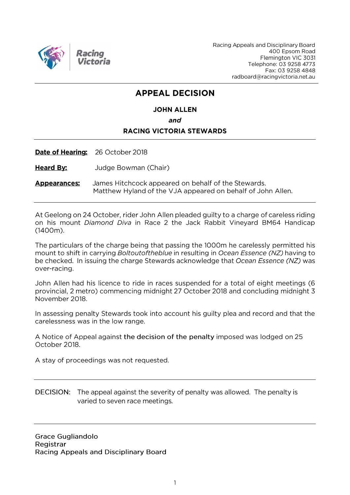

Racing Appeals and Disciplinary Board 400 Epsom Road Flemington VIC 3031 Telephone: 03 9258 4773 Fax: 03 9258 4848 radboard@racingvictoria.net.au

# **APPEAL DECISION**

# **JOHN ALLEN** and **RACING VICTORIA STEWARDS**

Date of Hearing: 26 October 2018

**Heard By:** Judge Bowman (Chair)

James Hitchcock appeared on behalf of the Stewards. **Appearances:** Matthew Hyland of the VJA appeared on behalf of John Allen.

At Geelong on 24 October, rider John Allen pleaded guilty to a charge of careless riding on his mount *Diamond Diva* in Race 2 the Jack Rabbit Vineyard BM64 Handicap  $(1400m).$ 

The particulars of the charge being that passing the 1000m he carelessly permitted his mount to shift in carrying Boltoutoftheblue in resulting in Ocean Essence (NZ) having to be checked. In issuing the charge Stewards acknowledge that Ocean Essence (NZ) was over-racing.

John Allen had his licence to ride in races suspended for a total of eight meetings (6 provincial, 2 metro) commencing midnight 27 October 2018 and concluding midnight 3 November 2018.

In assessing penalty Stewards took into account his guilty plea and record and that the carelessness was in the low range.

A Notice of Appeal against the decision of the penalty imposed was lodged on 25 October 2018.

A stay of proceedings was not requested.

DECISION: The appeal against the severity of penalty was allowed. The penalty is varied to seven race meetings.

**Grace Gugliandolo** Registrar Racing Appeals and Disciplinary Board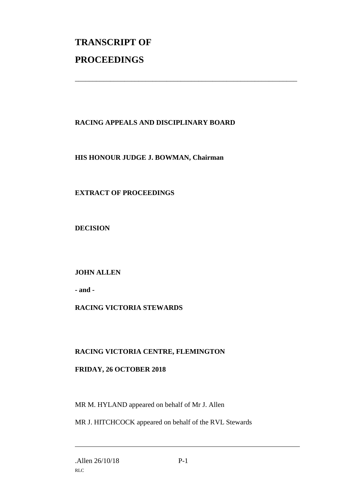# **TRANSCRIPT OF PROCEEDINGS**

## **RACING APPEALS AND DISCIPLINARY BOARD**

\_\_\_\_\_\_\_\_\_\_\_\_\_\_\_\_\_\_\_\_\_\_\_\_\_\_\_\_\_\_\_\_\_\_\_\_\_\_\_\_\_\_\_\_\_\_\_\_\_\_\_\_\_\_\_\_\_\_\_\_\_\_\_

#### **HIS HONOUR JUDGE J. BOWMAN, Chairman**

## **EXTRACT OF PROCEEDINGS**

**DECISION**

## **JOHN ALLEN**

**- and -**

## **RACING VICTORIA STEWARDS**

#### **RACING VICTORIA CENTRE, FLEMINGTON**

#### **FRIDAY, 26 OCTOBER 2018**

MR M. HYLAND appeared on behalf of Mr J. Allen

MR J. HITCHCOCK appeared on behalf of the RVL Stewards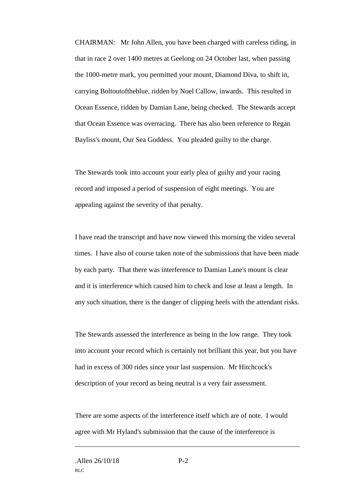CHAIRMAN: Mr John Allen, you have been charged with careless riding, in that in race 2 over 1400 metres at Geelong on 24 October last, when passing the 1000-metre mark, you permitted your mount, Diamond Diva, to shift in, carrying Boltoutoftheblue, ridden by Noel Callow, inwards. This resulted in Ocean Essence, ridden by Damian Lane, being checked. The Stewards accept that Ocean Essence was overracing. There has also been reference to Regan Bayliss's mount, Our Sea Goddess. You pleaded guilty to the charge.

The Stewards took into account your early plea of guilty and your racing record and imposed a period of suspension of eight meetings. You are appealing against the severity of that penalty.

I have read the transcript and have now viewed this morning the video several times. I have also of course taken note of the submissions that have been made by each party. That there was interference to Damian Lane's mount is clear and it is interference which caused him to check and lose at least a length. In any such situation, there is the danger of clipping heels with the attendant risks.

The Stewards assessed the interference as being in the low range. They took into account your record which is certainly not brilliant this year, but you have had in excess of 300 rides since your last suspension. Mr Hitchcock's description of your record as being neutral is a very fair assessment.

There are some aspects of the interference itself which are of note. I would agree with Mr Hyland's submission that the cause of the interference is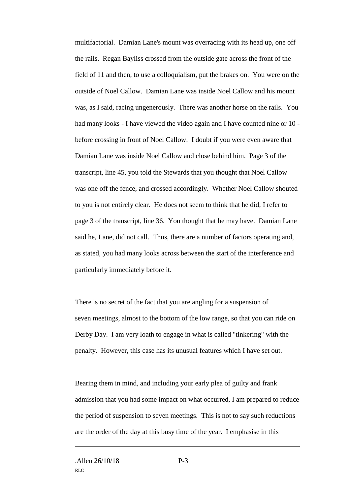multifactorial. Damian Lane's mount was overracing with its head up, one off the rails. Regan Bayliss crossed from the outside gate across the front of the field of 11 and then, to use a colloquialism, put the brakes on. You were on the outside of Noel Callow. Damian Lane was inside Noel Callow and his mount was, as I said, racing ungenerously. There was another horse on the rails. You had many looks - I have viewed the video again and I have counted nine or 10 before crossing in front of Noel Callow. I doubt if you were even aware that Damian Lane was inside Noel Callow and close behind him. Page 3 of the transcript, line 45, you told the Stewards that you thought that Noel Callow was one off the fence, and crossed accordingly. Whether Noel Callow shouted to you is not entirely clear. He does not seem to think that he did; I refer to page 3 of the transcript, line 36. You thought that he may have. Damian Lane said he, Lane, did not call. Thus, there are a number of factors operating and, as stated, you had many looks across between the start of the interference and particularly immediately before it.

There is no secret of the fact that you are angling for a suspension of seven meetings, almost to the bottom of the low range, so that you can ride on Derby Day. I am very loath to engage in what is called "tinkering" with the penalty. However, this case has its unusual features which I have set out.

Bearing them in mind, and including your early plea of guilty and frank admission that you had some impact on what occurred, I am prepared to reduce the period of suspension to seven meetings. This is not to say such reductions are the order of the day at this busy time of the year. I emphasise in this